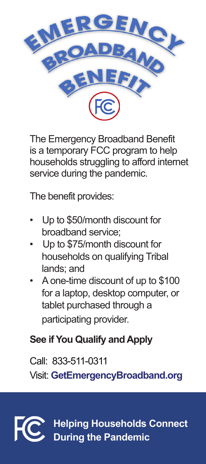

The Emergency Broadband Benefit is a temporary FCC program to help households struggling to afford internet service during the pandemic.

The benefit provides:

- Up to \$50/month discount for broadband service;
- Up to \$75/month discount for households on qualifying Tribal lands; and
- A one-time discount of up to \$100 for a laptop, desktop computer, or tablet purchased through a participating provider.

## **See if You Qualify and Apply**

Call: 833-511-0311

Visit: **GetEmergencyBroadband.org**